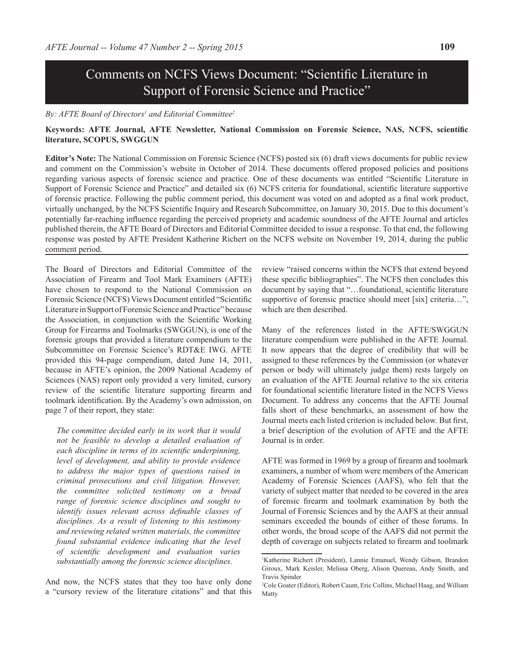# Comments on NCFS Views Document: "Scientific Literature in Support of Forensic Science and Practice"

#### *By: AFTE Board of Directors<sup>1</sup> and Editorial Committee<sup>2</sup>*

# **Keywords: AFTE Journal, AFTE Newsletter, National Commission on Forensic Science, NAS, NCFS, scientific literature, SCOPUS, SWGGUN**

**Editor's Note:** The National Commission on Forensic Science (NCFS) posted six (6) draft views documents for public review and comment on the Commission's website in October of 2014. These documents offered proposed policies and positions regarding various aspects of forensic science and practice. One of these documents was entitled "Scientific Literature in Support of Forensic Science and Practice" and detailed six (6) NCFS criteria for foundational, scientific literature supportive of forensic practice. Following the public comment period, this document was voted on and adopted as a final work product, virtually unchanged, by the NCFS Scientific Inquiry and Research Subcommittee, on January 30, 2015. Due to this document's potentially far-reaching influence regarding the perceived propriety and academic soundness of the AFTE Journal and articles published therein, the AFTE Board of Directors and Editorial Committee decided to issue a response. To that end, the following response was posted by AFTE President Katherine Richert on the NCFS website on November 19, 2014, during the public comment period.

The Board of Directors and Editorial Committee of the Association of Firearm and Tool Mark Examiners (AFTE) have chosen to respond to the National Commission on Forensic Science (NCFS) Views Document entitled "Scientific Literature in Support of Forensic Science and Practice" because the Association, in conjunction with the Scientific Working Group for Firearms and Toolmarks (SWGGUN), is one of the forensic groups that provided a literature compendium to the Subcommittee on Forensic Science's RDT&E IWG. AFTE provided this 94-page compendium, dated June 14, 2011, because in AFTE's opinion, the 2009 National Academy of Sciences (NAS) report only provided a very limited, cursory review of the scientific literature supporting firearm and toolmark identification. By the Academy's own admission, on page 7 of their report, they state:

*The committee decided early in its work that it would not be feasible to develop a detailed evaluation of each discipline in terms of its scientific underpinning, level of development, and ability to provide evidence to address the major types of questions raised in criminal prosecutions and civil litigation. However, the committee solicited testimony on a broad range of forensic science disciplines and sought to identify issues relevant across definable classes of disciplines. As a result of listening to this testimony and reviewing related written materials, the committee found substantial evidence indicating that the level of scientific development and evaluation varies substantially among the forensic science disciplines.*

And now, the NCFS states that they too have only done a "cursory review of the literature citations" and that this

review "raised concerns within the NCFS that extend beyond these specific bibliographies". The NCFS then concludes this document by saying that "…foundational, scientific literature supportive of forensic practice should meet [six] criteria...", which are then described.

Many of the references listed in the AFTE/SWGGUN literature compendium were published in the AFTE Journal. It now appears that the degree of credibility that will be assigned to these references by the Commission (or whatever person or body will ultimately judge them) rests largely on an evaluation of the AFTE Journal relative to the six criteria for foundational scientific literature listed in the NCFS Views Document. To address any concerns that the AFTE Journal falls short of these benchmarks, an assessment of how the Journal meets each listed criterion is included below. But first, a brief description of the evolution of AFTE and the AFTE Journal is in order.

AFTE was formed in 1969 by a group of firearm and toolmark examiners, a number of whom were members of the American Academy of Forensic Sciences (AAFS), who felt that the variety of subject matter that needed to be covered in the area of forensic firearm and toolmark examination by both the Journal of Forensic Sciences and by the AAFS at their annual seminars exceeded the bounds of either of those forums. In other words, the broad scope of the AAFS did not permit the depth of coverage on subjects related to firearm and toolmark

<sup>1</sup> Katherine Richert (President), Lannie Emanuel, Wendy Gibson, Brandon Giroux, Mark Keisler, Melissa Oberg, Alison Quereau, Andy Smith, and Travis Spinder

<sup>2</sup> Cole Goater (Editor), Robert Caunt, Eric Collins, Michael Haag, and William Matty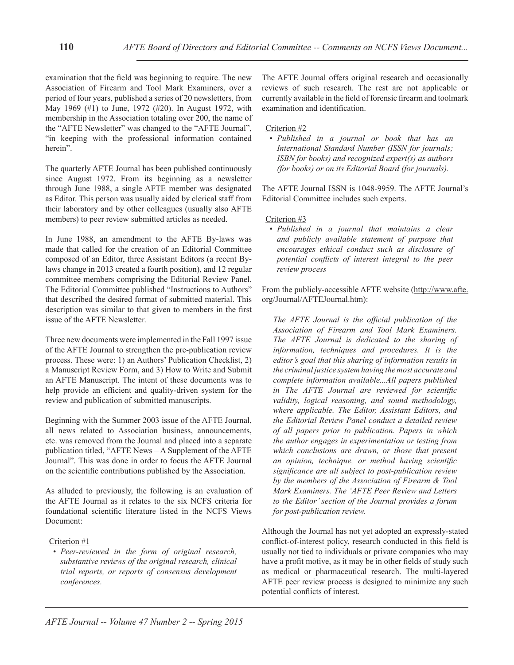examination that the field was beginning to require. The new Association of Firearm and Tool Mark Examiners, over a period of four years, published a series of 20 newsletters, from May 1969 (#1) to June, 1972 (#20). In August 1972, with membership in the Association totaling over 200, the name of the "AFTE Newsletter" was changed to the "AFTE Journal", "in keeping with the professional information contained herein".

The quarterly AFTE Journal has been published continuously since August 1972. From its beginning as a newsletter through June 1988, a single AFTE member was designated as Editor. This person was usually aided by clerical staff from their laboratory and by other colleagues (usually also AFTE members) to peer review submitted articles as needed.

In June 1988, an amendment to the AFTE By-laws was made that called for the creation of an Editorial Committee composed of an Editor, three Assistant Editors (a recent Bylaws change in 2013 created a fourth position), and 12 regular committee members comprising the Editorial Review Panel. The Editorial Committee published "Instructions to Authors" that described the desired format of submitted material. This description was similar to that given to members in the first issue of the AFTE Newsletter.

Three new documents were implemented in the Fall 1997 issue of the AFTE Journal to strengthen the pre-publication review process. These were: 1) an Authors' Publication Checklist, 2) a Manuscript Review Form, and 3) How to Write and Submit an AFTE Manuscript. The intent of these documents was to help provide an efficient and quality-driven system for the review and publication of submitted manuscripts.

Beginning with the Summer 2003 issue of the AFTE Journal, all news related to Association business, announcements, etc. was removed from the Journal and placed into a separate publication titled, "AFTE News – A Supplement of the AFTE Journal". This was done in order to focus the AFTE Journal on the scientific contributions published by the Association.

As alluded to previously, the following is an evaluation of the AFTE Journal as it relates to the six NCFS criteria for foundational scientific literature listed in the NCFS Views Document:

# Criterion #1

*• Peer-reviewed in the form of original research, substantive reviews of the original research, clinical trial reports, or reports of consensus development conferences.*

The AFTE Journal offers original research and occasionally reviews of such research. The rest are not applicable or currently available in the field of forensic firearm and toolmark examination and identification.

#### Criterion #2

*• Published in a journal or book that has an International Standard Number (ISSN for journals; ISBN for books) and recognized expert(s) as authors (for books) or on its Editorial Board (for journals).*

The AFTE Journal ISSN is 1048-9959. The AFTE Journal's Editorial Committee includes such experts.

#### Criterion #3

*• Published in a journal that maintains a clear and publicly available statement of purpose that encourages ethical conduct such as disclosure of potential conflicts of interest integral to the peer review process*

From the publicly-accessible AFTE website (http://www.afte. org/Journal/AFTEJournal.htm):

*The AFTE Journal is the official publication of the Association of Firearm and Tool Mark Examiners. The AFTE Journal is dedicated to the sharing of information, techniques and procedures. It is the editor's goal that this sharing of information results in the criminal justice system having the most accurate and complete information available...All papers published in The AFTE Journal are reviewed for scientific validity, logical reasoning, and sound methodology, where applicable. The Editor, Assistant Editors, and the Editorial Review Panel conduct a detailed review of all papers prior to publication. Papers in which the author engages in experimentation or testing from which conclusions are drawn, or those that present an opinion, technique, or method having scientific significance are all subject to post-publication review by the members of the Association of Firearm & Tool Mark Examiners. The 'AFTE Peer Review and Letters to the Editor' section of the Journal provides a forum for post-publication review.*

Although the Journal has not yet adopted an expressly-stated conflict-of-interest policy, research conducted in this field is usually not tied to individuals or private companies who may have a profit motive, as it may be in other fields of study such as medical or pharmaceutical research. The multi-layered AFTE peer review process is designed to minimize any such potential conflicts of interest.